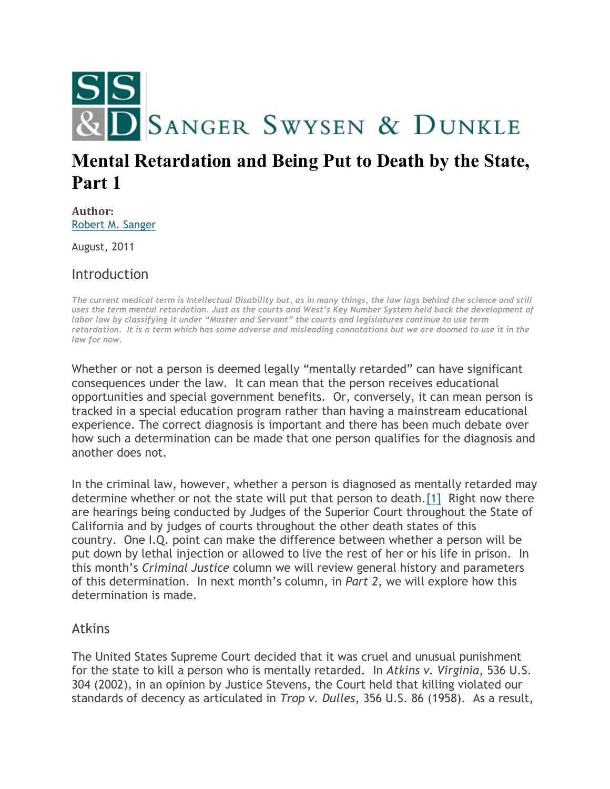

## **Mental Retardation and Being Put to Death by the State, Part 1**

**Author:** [Robert M. Sanger](http://sangerswysen.com/robert-m-sanger)

August, 2011

Introduction

*The current medical term is Intellectual Disability but, as in many things, the law lags behind the science and still uses the term mental retardation. Just as the courts and West's Key Number System held back the development of labor law by classifying it under "Master and Servant" the courts and legislatures continue to use term retardation. It is a term which has some adverse and misleading connotations but we are doomed to use it in the law for now.*

Whether or not a person is deemed legally "mentally retarded" can have significant consequences under the law. It can mean that the person receives educational opportunities and special government benefits. Or, conversely, it can mean person is tracked in a special education program rather than having a mainstream educational experience. The correct diagnosis is important and there has been much debate over how such a determination can be made that one person qualifies for the diagnosis and another does not.

In the criminal law, however, whether a person is diagnosed as mentally retarded may determine whether or not the state will put that person to death[.\[1\]](#page-4-0) Right now there are hearings being conducted by Judges of the Superior Court throughout the State of California and by judges of courts throughout the other death states of this country. One I.Q. point can make the difference between whether a person will be put down by lethal injection or allowed to live the rest of her or his life in prison. In this month's *Criminal Justice* column we will review general history and parameters of this determination. In next month's column, in *Part 2*, we will explore how this determination is made.

## Atkins

The United States Supreme Court decided that it was cruel and unusual punishment for the state to kill a person who is mentally retarded. In *Atkins v. Virginia*, 536 U.S. 304 (2002), in an opinion by Justice Stevens, the Court held that killing violated our standards of decency as articulated in *Trop v. Dulles*, 356 U.S. 86 (1958). As a result,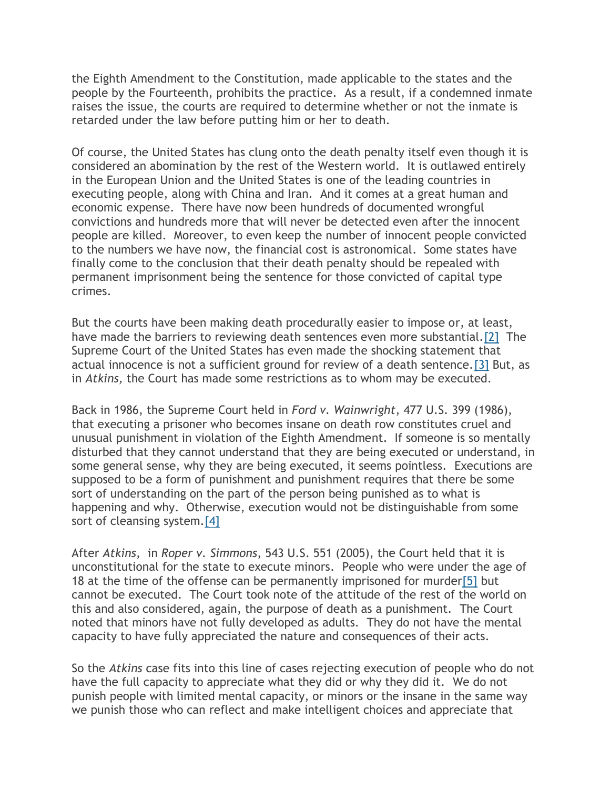the Eighth Amendment to the Constitution, made applicable to the states and the people by the Fourteenth, prohibits the practice. As a result, if a condemned inmate raises the issue, the courts are required to determine whether or not the inmate is retarded under the law before putting him or her to death.

Of course, the United States has clung onto the death penalty itself even though it is considered an abomination by the rest of the Western world. It is outlawed entirely in the European Union and the United States is one of the leading countries in executing people, along with China and Iran. And it comes at a great human and economic expense. There have now been hundreds of documented wrongful convictions and hundreds more that will never be detected even after the innocent people are killed. Moreover, to even keep the number of innocent people convicted to the numbers we have now, the financial cost is astronomical. Some states have finally come to the conclusion that their death penalty should be repealed with permanent imprisonment being the sentence for those convicted of capital type crimes.

But the courts have been making death procedurally easier to impose or, at least, have made the barriers to reviewing death sentences even more substantial.<sup>[2]</sup> The Supreme Court of the United States has even made the shocking statement that actual innocence is not a sufficient ground for review of a death sentence[.\[3\]](#page-5-0) But, as in *Atkins,* the Court has made some restrictions as to whom may be executed.

Back in 1986, the Supreme Court held in *Ford v. Wainwright*, 477 U.S. 399 (1986), that executing a prisoner who becomes insane on death row constitutes cruel and unusual punishment in violation of the Eighth Amendment. If someone is so mentally disturbed that they cannot understand that they are being executed or understand, in some general sense, why they are being executed, it seems pointless. Executions are supposed to be a form of punishment and punishment requires that there be some sort of understanding on the part of the person being punished as to what is happening and why. Otherwise, execution would not be distinguishable from some sort of cleansing system[.\[4\]](#page-5-1)

After *Atkins*, in *Roper v. Simmons*, 543 U.S. 551 (2005), the Court held that it is unconstitutional for the state to execute minors. People who were under the age of 18 at the time of the offense can be permanently imprisoned for murde[r\[5\]](#page-5-2) but cannot be executed. The Court took note of the attitude of the rest of the world on this and also considered, again, the purpose of death as a punishment. The Court noted that minors have not fully developed as adults. They do not have the mental capacity to have fully appreciated the nature and consequences of their acts.

So the *Atkins* case fits into this line of cases rejecting execution of people who do not have the full capacity to appreciate what they did or why they did it. We do not punish people with limited mental capacity, or minors or the insane in the same way we punish those who can reflect and make intelligent choices and appreciate that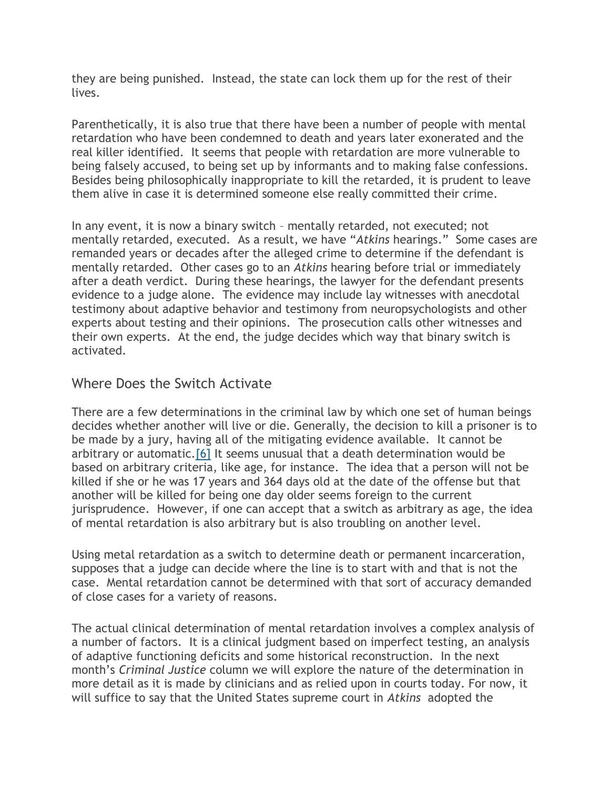they are being punished. Instead, the state can lock them up for the rest of their lives.

Parenthetically, it is also true that there have been a number of people with mental retardation who have been condemned to death and years later exonerated and the real killer identified. It seems that people with retardation are more vulnerable to being falsely accused, to being set up by informants and to making false confessions. Besides being philosophically inappropriate to kill the retarded, it is prudent to leave them alive in case it is determined someone else really committed their crime.

In any event, it is now a binary switch – mentally retarded, not executed; not mentally retarded, executed. As a result, we have "*Atkins* hearings." Some cases are remanded years or decades after the alleged crime to determine if the defendant is mentally retarded. Other cases go to an *Atkins* hearing before trial or immediately after a death verdict. During these hearings, the lawyer for the defendant presents evidence to a judge alone. The evidence may include lay witnesses with anecdotal testimony about adaptive behavior and testimony from neuropsychologists and other experts about testing and their opinions. The prosecution calls other witnesses and their own experts. At the end, the judge decides which way that binary switch is activated.

## Where Does the Switch Activate

There are a few determinations in the criminal law by which one set of human beings decides whether another will live or die. Generally, the decision to kill a prisoner is to be made by a jury, having all of the mitigating evidence available. It cannot be arbitrary or automatic[.\[6\]](#page-5-3) It seems unusual that a death determination would be based on arbitrary criteria, like age, for instance. The idea that a person will not be killed if she or he was 17 years and 364 days old at the date of the offense but that another will be killed for being one day older seems foreign to the current jurisprudence. However, if one can accept that a switch as arbitrary as age, the idea of mental retardation is also arbitrary but is also troubling on another level.

Using metal retardation as a switch to determine death or permanent incarceration, supposes that a judge can decide where the line is to start with and that is not the case. Mental retardation cannot be determined with that sort of accuracy demanded of close cases for a variety of reasons.

The actual clinical determination of mental retardation involves a complex analysis of a number of factors. It is a clinical judgment based on imperfect testing, an analysis of adaptive functioning deficits and some historical reconstruction. In the next month's *Criminal Justice* column we will explore the nature of the determination in more detail as it is made by clinicians and as relied upon in courts today. For now, it will suffice to say that the United States supreme court in *Atkins* adopted the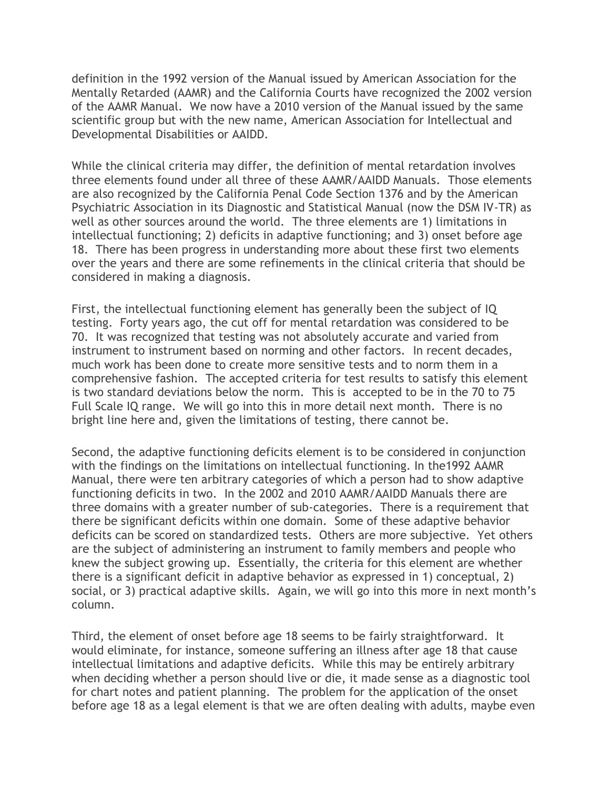definition in the 1992 version of the Manual issued by American Association for the Mentally Retarded (AAMR) and the California Courts have recognized the 2002 version of the AAMR Manual. We now have a 2010 version of the Manual issued by the same scientific group but with the new name, American Association for Intellectual and Developmental Disabilities or AAIDD.

While the clinical criteria may differ, the definition of mental retardation involves three elements found under all three of these AAMR/AAIDD Manuals. Those elements are also recognized by the California Penal Code Section 1376 and by the American Psychiatric Association in its Diagnostic and Statistical Manual (now the DSM IV-TR) as well as other sources around the world. The three elements are 1) limitations in intellectual functioning; 2) deficits in adaptive functioning; and 3) onset before age 18. There has been progress in understanding more about these first two elements over the years and there are some refinements in the clinical criteria that should be considered in making a diagnosis.

First, the intellectual functioning element has generally been the subject of IQ testing. Forty years ago, the cut off for mental retardation was considered to be 70. It was recognized that testing was not absolutely accurate and varied from instrument to instrument based on norming and other factors. In recent decades, much work has been done to create more sensitive tests and to norm them in a comprehensive fashion. The accepted criteria for test results to satisfy this element is two standard deviations below the norm. This is accepted to be in the 70 to 75 Full Scale IQ range. We will go into this in more detail next month. There is no bright line here and, given the limitations of testing, there cannot be.

Second, the adaptive functioning deficits element is to be considered in conjunction with the findings on the limitations on intellectual functioning. In the1992 AAMR Manual, there were ten arbitrary categories of which a person had to show adaptive functioning deficits in two. In the 2002 and 2010 AAMR/AAIDD Manuals there are three domains with a greater number of sub-categories. There is a requirement that there be significant deficits within one domain. Some of these adaptive behavior deficits can be scored on standardized tests. Others are more subjective. Yet others are the subject of administering an instrument to family members and people who knew the subject growing up. Essentially, the criteria for this element are whether there is a significant deficit in adaptive behavior as expressed in 1) conceptual, 2) social, or 3) practical adaptive skills. Again, we will go into this more in next month's column.

Third, the element of onset before age 18 seems to be fairly straightforward. It would eliminate, for instance, someone suffering an illness after age 18 that cause intellectual limitations and adaptive deficits. While this may be entirely arbitrary when deciding whether a person should live or die, it made sense as a diagnostic tool for chart notes and patient planning. The problem for the application of the onset before age 18 as a legal element is that we are often dealing with adults, maybe even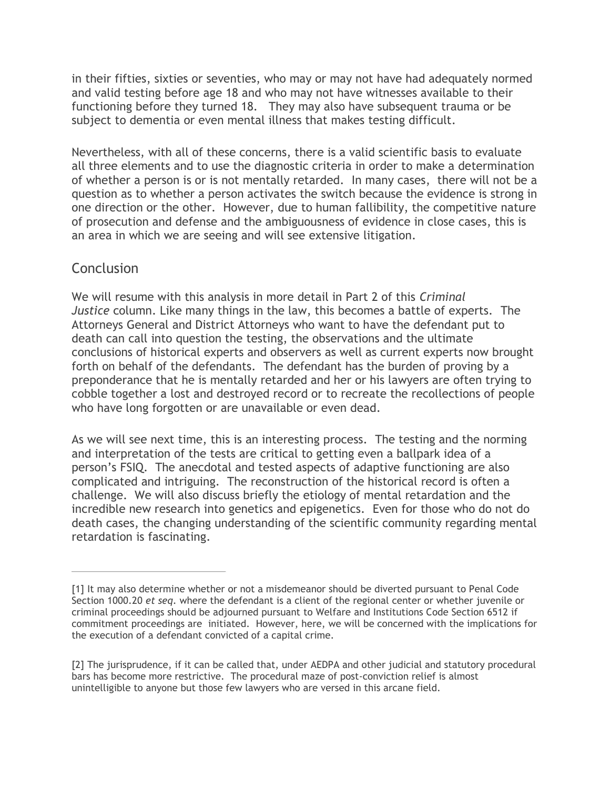in their fifties, sixties or seventies, who may or may not have had adequately normed and valid testing before age 18 and who may not have witnesses available to their functioning before they turned 18. They may also have subsequent trauma or be subject to dementia or even mental illness that makes testing difficult.

Nevertheless, with all of these concerns, there is a valid scientific basis to evaluate all three elements and to use the diagnostic criteria in order to make a determination of whether a person is or is not mentally retarded. In many cases, there will not be a question as to whether a person activates the switch because the evidence is strong in one direction or the other. However, due to human fallibility, the competitive nature of prosecution and defense and the ambiguousness of evidence in close cases, this is an area in which we are seeing and will see extensive litigation.

## **Conclusion**

We will resume with this analysis in more detail in Part 2 of this *Criminal Justice* column. Like many things in the law, this becomes a battle of experts. The Attorneys General and District Attorneys who want to have the defendant put to death can call into question the testing, the observations and the ultimate conclusions of historical experts and observers as well as current experts now brought forth on behalf of the defendants. The defendant has the burden of proving by a preponderance that he is mentally retarded and her or his lawyers are often trying to cobble together a lost and destroyed record or to recreate the recollections of people who have long forgotten or are unavailable or even dead.

As we will see next time, this is an interesting process. The testing and the norming and interpretation of the tests are critical to getting even a ballpark idea of a person's FSIQ. The anecdotal and tested aspects of adaptive functioning are also complicated and intriguing. The reconstruction of the historical record is often a challenge. We will also discuss briefly the etiology of mental retardation and the incredible new research into genetics and epigenetics. Even for those who do not do death cases, the changing understanding of the scientific community regarding mental retardation is fascinating.

<span id="page-4-0"></span><sup>[1]</sup> It may also determine whether or not a misdemeanor should be diverted pursuant to Penal Code Section 1000.20 *et seq*. where the defendant is a client of the regional center or whether juvenile or criminal proceedings should be adjourned pursuant to Welfare and Institutions Code Section 6512 if commitment proceedings are initiated. However, here, we will be concerned with the implications for the execution of a defendant convicted of a capital crime.

<span id="page-4-1"></span><sup>[2]</sup> The jurisprudence, if it can be called that, under AEDPA and other judicial and statutory procedural bars has become more restrictive. The procedural maze of post-conviction relief is almost unintelligible to anyone but those few lawyers who are versed in this arcane field.